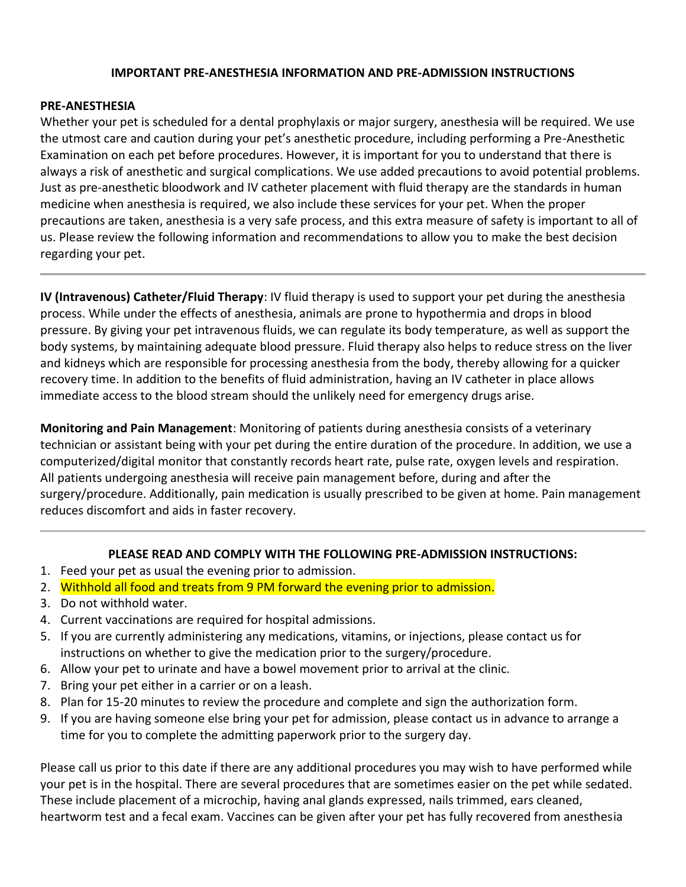### **IMPORTANT PRE-ANESTHESIA INFORMATION AND PRE-ADMISSION INSTRUCTIONS**

### **PRE-ANESTHESIA**

Whether your pet is scheduled for a dental prophylaxis or major surgery, anesthesia will be required. We use the utmost care and caution during your pet's anesthetic procedure, including performing a Pre-Anesthetic Examination on each pet before procedures. However, it is important for you to understand that there is always a risk of anesthetic and surgical complications. We use added precautions to avoid potential problems. Just as pre-anesthetic bloodwork and IV catheter placement with fluid therapy are the standards in human medicine when anesthesia is required, we also include these services for your pet. When the proper precautions are taken, anesthesia is a very safe process, and this extra measure of safety is important to all of us. Please review the following information and recommendations to allow you to make the best decision regarding your pet.

**IV (Intravenous) Catheter/Fluid Therapy**: IV fluid therapy is used to support your pet during the anesthesia process. While under the effects of anesthesia, animals are prone to hypothermia and drops in blood pressure. By giving your pet intravenous fluids, we can regulate its body temperature, as well as support the body systems, by maintaining adequate blood pressure. Fluid therapy also helps to reduce stress on the liver and kidneys which are responsible for processing anesthesia from the body, thereby allowing for a quicker recovery time. In addition to the benefits of fluid administration, having an IV catheter in place allows immediate access to the blood stream should the unlikely need for emergency drugs arise.

**Monitoring and Pain Management**: Monitoring of patients during anesthesia consists of a veterinary technician or assistant being with your pet during the entire duration of the procedure. In addition, we use a computerized/digital monitor that constantly records heart rate, pulse rate, oxygen levels and respiration. All patients undergoing anesthesia will receive pain management before, during and after the surgery/procedure. Additionally, pain medication is usually prescribed to be given at home. Pain management reduces discomfort and aids in faster recovery.

### **PLEASE READ AND COMPLY WITH THE FOLLOWING PRE-ADMISSION INSTRUCTIONS:**

- 1. Feed your pet as usual the evening prior to admission.
- 2. Withhold all food and treats from 9 PM forward the evening prior to admission.
- 3. Do not withhold water.
- 4. Current vaccinations are required for hospital admissions.
- 5. If you are currently administering any medications, vitamins, or injections, please contact us for instructions on whether to give the medication prior to the surgery/procedure.
- 6. Allow your pet to urinate and have a bowel movement prior to arrival at the clinic.
- 7. Bring your pet either in a carrier or on a leash.
- 8. Plan for 15-20 minutes to review the procedure and complete and sign the authorization form.
- 9. If you are having someone else bring your pet for admission, please contact us in advance to arrange a time for you to complete the admitting paperwork prior to the surgery day.

Please call us prior to this date if there are any additional procedures you may wish to have performed while your pet is in the hospital. There are several procedures that are sometimes easier on the pet while sedated. These include placement of a microchip, having anal glands expressed, nails trimmed, ears cleaned, heartworm test and a fecal exam. Vaccines can be given after your pet has fully recovered from anesthesia